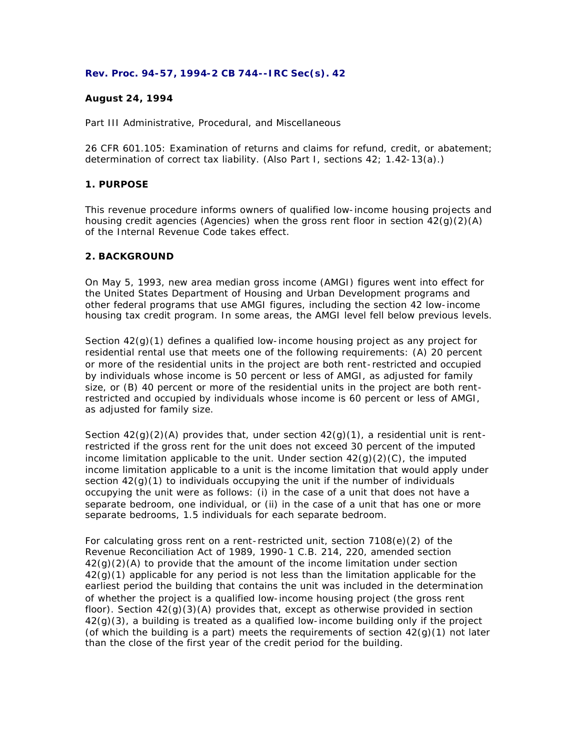## **Rev. Proc. 94-57, 1994-2 CB 744--IRC Sec(s). 42**

# **August 24, 1994**

Part III Administrative, Procedural, and Miscellaneous

26 CFR 601.105: Examination of returns and claims for refund, credit, or abatement; determination of correct tax liability. (Also Part I, sections 42; 1.42-13(a).)

# **1. PURPOSE**

This revenue procedure informs owners of qualified low-income housing projects and housing credit agencies (Agencies) when the gross rent floor in section  $42(q)(2)(A)$ of the Internal Revenue Code takes effect.

# **2. BACKGROUND**

On May 5, 1993, new area median gross income (AMGI) figures went into effect for the United States Department of Housing and Urban Development programs and other federal programs that use AMGI figures, including the section 42 low-income housing tax credit program. In some areas, the AMGI level fell below previous levels.

Section  $42<sub>(g)</sub>(1)$  defines a qualified low-income housing project as any project for residential rental use that meets one of the following requirements: (A) 20 percent or more of the residential units in the project are both rent-restricted and occupied by individuals whose income is 50 percent or less of AMGI, as adjusted for family size, or (B) 40 percent or more of the residential units in the project are both rentrestricted and occupied by individuals whose income is 60 percent or less of AMGI, as adjusted for family size.

Section  $42(q)(2)(A)$  provides that, under section  $42(q)(1)$ , a residential unit is rentrestricted if the gross rent for the unit does not exceed 30 percent of the imputed income limitation applicable to the unit. Under section  $42(g)(2)(C)$ , the imputed income limitation applicable to a unit is the income limitation that would apply under section  $42(q)(1)$  to individuals occupying the unit if the number of individuals occupying the unit were as follows: (i) in the case of a unit that does not have a separate bedroom, one individual, or (ii) in the case of a unit that has one or more separate bedrooms, 1.5 individuals for each separate bedroom.

For calculating gross rent on a rent-restricted unit, section 7108(e)(2) of the Revenue Reconciliation Act of 1989, 1990-1 C.B. 214, 220, amended section  $42(q)(2)(A)$  to provide that the amount of the income limitation under section 42(g)(1) applicable for any period is not less than the limitation applicable for the earliest period the building that contains the unit was included in the determination of whether the project is a qualified low-income housing project (the gross rent floor). Section  $42(q)(3)(A)$  provides that, except as otherwise provided in section  $42(q)(3)$ , a building is treated as a qualified low-income building only if the project (of which the building is a part) meets the requirements of section  $42(q)(1)$  not later than the close of the first year of the credit period for the building.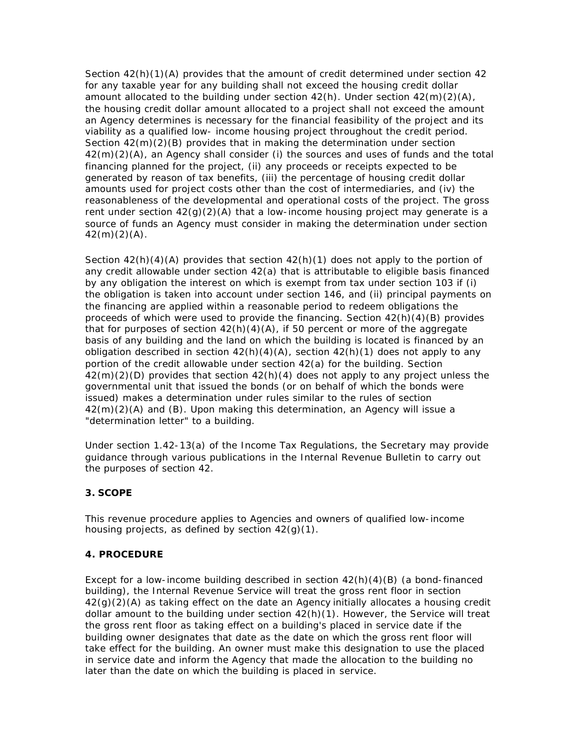Section  $42(h)(1)(A)$  provides that the amount of credit determined under section  $42$ for any taxable year for any building shall not exceed the housing credit dollar amount allocated to the building under section  $42(h)$ . Under section  $42(m)(2)(A)$ , the housing credit dollar amount allocated to a project shall not exceed the amount an Agency determines is necessary for the financial feasibility of the project and its viability as a qualified low- income housing project throughout the credit period. Section  $42(m)(2)(B)$  provides that in making the determination under section 42(m)(2)(A), an Agency shall consider (i) the sources and uses of funds and the total financing planned for the project, (ii) any proceeds or receipts expected to be generated by reason of tax benefits, (iii) the percentage of housing credit dollar amounts used for project costs other than the cost of intermediaries, and (iv) the reasonableness of the developmental and operational costs of the project. The gross rent under section  $42(q)(2)(A)$  that a low-income housing project may generate is a source of funds an Agency must consider in making the determination under section  $42(m)(2)(A)$ .

Section  $42(h)(4)(A)$  provides that section  $42(h)(1)$  does not apply to the portion of any credit allowable under section 42(a) that is attributable to eligible basis financed by any obligation the interest on which is exempt from tax under section 103 if (i) the obligation is taken into account under section 146, and (ii) principal payments on the financing are applied within a reasonable period to redeem obligations the proceeds of which were used to provide the financing. Section 42(h)(4)(B) provides that for purposes of section  $42(h)(4)(A)$ , if 50 percent or more of the aggregate basis of any building and the land on which the building is located is financed by an obligation described in section  $42(h)(4)(A)$ , section  $42(h)(1)$  does not apply to any portion of the credit allowable under section 42(a) for the building. Section  $42(m)(2)(D)$  provides that section  $42(h)(4)$  does not apply to any project unless the governmental unit that issued the bonds (or on behalf of which the bonds were issued) makes a determination under rules similar to the rules of section 42(m)(2)(A) and (B). Upon making this determination, an Agency will issue a "determination letter" to a building.

Under section 1.42-13(a) of the Income Tax Regulations, the Secretary may provide guidance through various publications in the Internal Revenue Bulletin to carry out the purposes of section 42.

# **3. SCOPE**

This revenue procedure applies to Agencies and owners of qualified low-income housing projects, as defined by section 42(g)(1).

### **4. PROCEDURE**

Except for a low-income building described in section  $42(h)(4)(B)$  (a bond-financed building), the Internal Revenue Service will treat the gross rent floor in section  $42(q)(2)(A)$  as taking effect on the date an Agency initially allocates a housing credit dollar amount to the building under section 42(h)(1). However, the Service will treat the gross rent floor as taking effect on a building's placed in service date if the building owner designates that date as the date on which the gross rent floor will take effect for the building. An owner must make this designation to use the placed in service date and inform the Agency that made the allocation to the building no later than the date on which the building is placed in service.